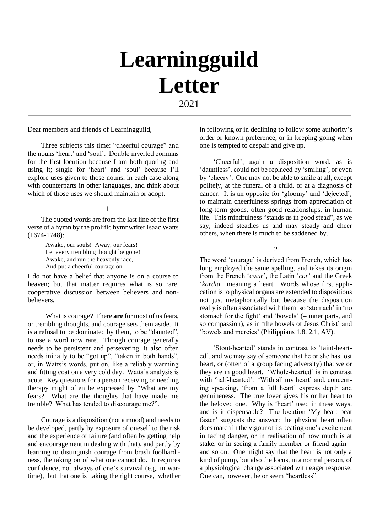# **Learningguild Letter** 2021

Dear members and friends of Learningguild,

Three subjects this time: "cheerful courage" and the nouns 'heart' and 'soul'. Double inverted commas for the first locution because I am both quoting and using it; single for 'heart' and 'soul' because I'll explore uses given to those nouns, in each case along with counterparts in other languages, and think about which of those uses we should maintain or adopt.

#### 1

The quoted words are from the last line of the first verse of a hymn by the prolific hymnwriter Isaac Watts (1674-1748):

> Awake, our souls! Away, our fears! Let every trembling thought be gone! Awake, and run the heavenly race, And put a cheerful courage on.

I do not have a belief that anyone is on a course to heaven; but that matter requires what is so rare, cooperative discussion between believers and nonbelievers.

What is courage? There **are** for most of us fears, or trembling thoughts, and courage sets them aside. It is a refusal to be dominated by them, to be "daunted", to use a word now rare. Though courage generally needs to be persistent and persevering, it also often needs initially to be "got up", "taken in both hands", or, in Watts's words, put on, like a reliably warming and fitting coat on a very cold day. Watts's analysis is acute. Key questions for a person receiving or needing therapy might often be expressed by "What are my fears? What are the thoughts that have made me tremble? What has tended to discourage me?".

Courage is a disposition (not a mood) and needs to be developed, partly by exposure of oneself to the risk and the experience of failure (and often by getting help and encouragement in dealing with that), and partly by learning to distinguish courage from brash foolhardiness, the taking on of what one cannot do. It requires confidence, not always of one's survival (e.g. in wartime), but that one is taking the right course, whether in following or in declining to follow some authority's order or known preference, or in keeping going when one is tempted to despair and give up.

'Cheerful', again a disposition word, as is 'dauntless', could not be replaced by 'smiling', or even by 'cheery'. One may not be able to smile at all, except politely, at the funeral of a child, or at a diagnosis of cancer. It is an opposite for 'gloomy' and 'dejected'; to maintain cheerfulness springs from appreciation of long-term goods, often good relationships, in human life. This mindfulness "stands us in good stead", as we say, indeed steadies us and may steady and cheer others, when there is much to be saddened by.

2

The word 'courage' is derived from French, which has long employed the same spelling, and takes its origin from the French '*cœur*', the Latin '*cor*' and the Greek '*kardia',* meaning a heart. Words whose first application is to physical organs are extended to dispositions not just metaphorically but because the disposition really is often associated with them: so 'stomach' in 'no stomach for the fight' and 'bowels' (= inner parts, and so compassion), as in 'the bowels of Jesus Christ' and 'bowels and mercies' (Philippians 1.8, 2.1, AV).

'Stout-hearted' stands in contrast to 'faint-hearted', and we may say of someone that he or she has lost heart, or (often of a group facing adversity) that we or they are in good heart. 'Whole-hearted' is in contrast with 'half-hearted'. 'With all my heart' and, concerning speaking, 'from a full heart' express depth and genuineness. The true lover gives his or her heart to the beloved one. Why is 'heart' used in these ways, and is it dispensable? The locution 'My heart beat faster' suggests the answer: the physical heart often does match in the vigour of its beating one's excitement in facing danger, or in realisation of how much is at stake, or in seeing a family member or friend again  $$ and so on. One might say that the heart is not only a kind of pump, but also the locus, in a normal person, of a physiological change associated with eager response. One can, however, be or seem "heartless".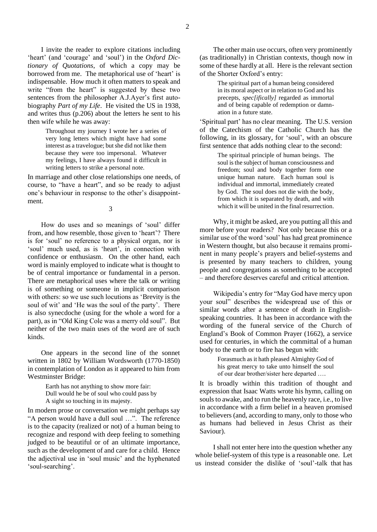I invite the reader to explore citations including 'heart' (and 'courage' and 'soul') in the *Oxford Dictionary of Quotations*, of which a copy may be borrowed from me. The metaphorical use of 'heart' is indispensable. How much it often matters to speak and write "from the heart" is suggested by these two sentences from the philosopher A.J.Ayer's first autobiography *Part of my Life*. He visited the US in 1938, and writes thus (p.206) about the letters he sent to his then wife while he was away:

> Throughout my journey I wrote her a series of very long letters which might have had some interest as a travelogue; but she did not like them because they were too impersonal. Whatever my feelings, I have always found it difficult in writing letters to strike a personal note.

In marriage and other close relationships one needs, of course, to "have a heart", and so be ready to adjust one's behaviour in response to the other's disappointment.

3

How do uses and so meanings of 'soul' differ from, and how resemble, those given to 'heart'? There is for 'soul' no reference to a physical organ, nor is 'soul' much used, as is 'heart', in connection with confidence or enthusiasm. On the other hand, each word is mainly employed to indicate what is thought to be of central importance or fundamental in a person. There are metaphorical uses where the talk or writing is of something or someone in implicit comparison with others: so we use such locutions as 'Brevity is the soul of wit' and 'He was the soul of the party'. There is also synecdoche (using for the whole a word for a part), as in "Old King Cole was a merry old soul". But neither of the two main uses of the word are of such kinds.

One appears in the second line of the sonnet written in 1802 by William Wordsworth (1770-1850) in contemplation of London as it appeared to him from Westminster Bridge:

> Earth has not anything to show more fair: Dull would he be of soul who could pass by A sight so touching in its majesty.

In modern prose or conversation we might perhaps say "A person would have a dull soul …". The reference is to the capacity (realized or not) of a human being to recognize and respond with deep feeling to something judged to be beautiful or of an ultimate importance, such as the development of and care for a child. Hence the adjectival use in 'soul music' and the hyphenated 'soul-searching'.

The other main use occurs, often very prominently (as traditionally) in Christian contexts, though now in some of these hardly at all. Here is the relevant section of the Shorter Oxford's entry:

> The spiritual part of a human being considered in its moral aspect or in relation to God and his precepts, *spec[ifically]* regarded as immortal and of being capable of redemption or damnation in a future state.

'Spiritual part' has no clear meaning. The U.S. version of the Catechism of the Catholic Church has the following, in its glossary, for 'soul', with an obscure first sentence that adds nothing clear to the second:

> The spiritual principle of human beings. The soul is the subject of human consciousness and freedom; soul and body together form one unique human nature. Each human soul is individual and immortal, immediately created by God. The soul does not die with the body, from which it is separated by death, and with which it will be united in the final resurrection.

Why, it might be asked, are you putting all this and more before your readers? Not only because this or a similar use of the word 'soul' has had great prominence in Western thought, but also because it remains prominent in many people's prayers and belief-systems and is presented by many teachers to children, young people and congregations as something to be accepted ‒ and therefore deserves careful and critical attention.

Wikipedia's entry for "May God have mercy upon your soul" describes the widespread use of this or similar words after a sentence of death in Englishspeaking countries. It has been in accordance with the wording of the funeral service of the Church of England's Book of Common Prayer (1662), a service used for centuries, in which the committal of a human body to the earth or to fire has begun with:

> Forasmuch as it hath pleased Almighty God of his great mercy to take unto himself the soul of our dear brother/sister here departed ….

It is broadly within this tradition of thought and expression that Isaac Watts wrote his hymn, calling on souls to awake, and to run the heavenly race, i.e., to live in accordance with a firm belief in a heaven promised to believers (and, according to many, only to those who as humans had believed in Jesus Christ as their Saviour).

I shall not enter here into the question whether any whole belief-system of this type is a reasonable one. Let us instead consider the dislike of 'soul'-talk that has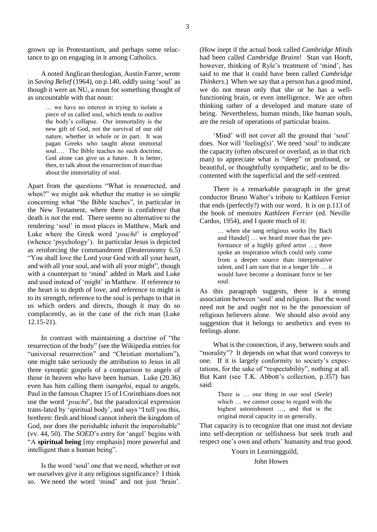grown up in Protestantism, and perhaps some reluctance to go on engaging in it among Catholics.

A noted Anglican theologian, Austin Farrer, wrote in *Saving Belief* (1964), on p.140, oddly using 'soul' as though it were an NU, a noun for something thought of as uncountable with that noun:

> … we have no interest in trying to isolate a piece of us called soul, which tends to outlive the body's collapse. Our immortality is the new gift of God, not the survival of our old nature, whether in whole or in part. It was pagan Greeks who taught about immortal soul…. The Bible teaches no such doctrine, God alone can give us a future. It is better, then, to talk about the resurrection of man than about the immortality of soul.

Apart from the questions "What is resurrected, and when?" we might ask whether the matter is so simple concerning what "the Bible teaches", in particular in the New Testament, where there is confidence that death is not the end. There seems no alternative to the rendering 'soul' in most places in Matthew, Mark and Luke where the Greek word '*psuchē*' is employed' (whence 'psychology'). In particular Jesus is depicted as reinforcing the commandment (Deuteronomy 6.5) "You shall love the Lord your God with all your heart, and with all your soul, and with all your might", though with a counterpart to 'mind' added in Mark and Luke and used instead of 'might' in Matthew. If reference to the heart is to depth of love, and reference to might is to its strength, reference to the soul is perhaps to that in us which orders and directs, though it may do so complacently, as in the case of the rich man (Luke  $12.15 - 21$ .

In contrast with maintaining a doctrine of "the resurrection of the body" (see the Wikipedia entries for "universal resurrection" and "Christian mortalism"), one might take seriously the attribution to Jesus in all three synoptic gospels of a comparison to angels of those in heaven who have been human. Luke (20.36) even has him calling them *isangeloi*, equal to angels. Paul in the famous Chapter 15 of I Corinthians does not use the word '*psuchē*', but the paradoxical expression trans-lated by 'spiritual body', and says "I tell you this, brethren: flesh and blood cannot inherit the kingdom of God, nor does the perishable inherit the imperishable" (vv. 44, 50). The *SOED*'s entry for 'angel' begins with "A **spiritual being** [my emphasis] more powerful and intelligent than a human being".

Is the word 'soul' one that we need, whether or not we ourselves give it any religious significance? I think so. We need the word 'mind' and not just 'brain'.

(How inept if the actual book called *Cambridge Minds* had been called *Cambridge Brains*! Stan van Hooft, however, thinking of Ryle's treatment of 'mind', has said to me that it could have been called *Cambridge Thinkers*.) When we say that a person has a good mind, we do not mean only that she or he has a wellfunctioning brain, or even intelligence. We are often thinking rather of a developed and mature state of being. Nevertheless, human minds, like human souls, are the result of operations of particular brains.

'Mind' will not cover all the ground that 'soul' does. Nor will 'feeling(s)'. We need 'soul' to indicate the capacity (often obscured or overlaid, as in that rich man) to appreciate what is "deep" or profound, or beautiful, or thoughtfully sympathetic, and to be discontented with the superficial and the self-centred.

There is a remarkable paragraph in the great conductor Bruno Walter's tribute to Kathleen Ferrier that ends (perfectly?) with our word. It is on p.113 of the book of memoirs *Kathleen Ferrier* (ed. Neville Cardus, 1954), and I quote much of it:

> … when she sang religious works [by Bach and Handel] … we heard more than the performance of a highly gifted artist …; there spoke an inspiration which could only come from a deeper source than interpretative talent, and I am sure that in a longer life … it would have become a dominant force in her soul.

As this paragraph suggests, there is a strong association between 'soul' and religion. But the word need not be and ought not to be the possession of religious believers alone. We should also avoid any suggestion that it belongs to aesthetics and even to feelings alone.

What is the connection, if any, between souls and "morality"? It depends on what that word conveys to one. If it is largely conformity to society's expectations, for the sake of "respectability", nothing at all. But Kant (see T.K. Abbott's collection, p.357) has said:

> There is … one thing in our soul (*Seele*) which … we cannot cease to regard with the highest astonishment …, and that is the original moral capacity in us generally.

That capacity is to recognize that one must not deviate into self-deception or selfishness but seek truth and respect one's own and others' humanity and true good.

Yours in Learningguild,

John Howes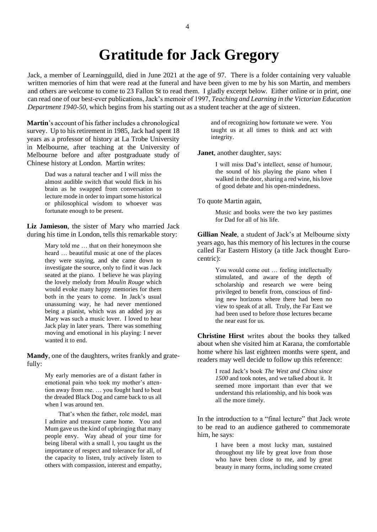## **Gratitude for Jack Gregory**

Jack, a member of Learningguild, died in June 2021 at the age of 97. There is a folder containing very valuable written memories of him that were read at the funeral and have been given to me by his son Martin, and members and others are welcome to come to 23 Fallon St to read them. I gladly excerpt below. Either online or in print, one can read one of our best-ever publications, Jack's memoir of 1997, *Teaching and Learning in the Victorian Education Department 1940-50*, which begins from his starting out as a student teacher at the age of sixteen.

**Martin**'s account of his father includes a chronological survey. Up to his retirement in 1985, Jack had spent 18 years as a professor of history at La Trobe University in Melbourne, after teaching at the University of Melbourne before and after postgraduate study of Chinese history at London. Martin writes:

> Dad was a natural teacher and I will miss the almost audible switch that would flick in his brain as he swapped from conversation to lecture mode in order to impart some historical or philosophical wisdom to whoever was fortunate enough to be present.

**Liz Jamieson**, the sister of Mary who married Jack during his time in London, tells this remarkable story:

> Mary told me … that on their honeymoon she heard … beautiful music at one of the places they were staying, and she came down to investigate the source, only to find it was Jack seated at the piano. I believe he was playing the lovely melody from *Moulin Rouge* which would evoke many happy memories for them both in the years to come. In Jack's usual unassuming way, he had never mentioned being a pianist, which was an added joy as Mary was such a music lover. I loved to hear Jack play in later years. There was something moving and emotional in his playing: I never wanted it to end.

**Mandy**, one of the daughters, writes frankly and gratefully:

> My early memories are of a distant father in emotional pain who took my mother's attention away from me. … you fought hard to beat the dreaded Black Dog and came back to us all when I was around ten.

> That's when the father, role model, man I admire and treasure came home. You and Mum gave us the kind of upbringing that many people envy. Way ahead of your time for being liberal with a small l, you taught us the importance of respect and tolerance for all, of the capacity to listen, truly actively listen to others with compassion, interest and empathy,

and of recognizing how fortunate we were. You taught us at all times to think and act with integrity.

#### **Janet**, another daughter, says:

I will miss Dad's intellect, sense of humour, the sound of his playing the piano when I walked in the door, sharing a red wine, his love of good debate and his open-mindedness.

To quote Martin again,

Music and books were the two key pastimes for Dad for all of his life.

**Gillian Neale**, a student of Jack's at Melbourne sixty years ago, has this memory of his lectures in the course called Far Eastern History (a title Jack thought Eurocentric):

> You would come out … feeling intellectually stimulated, and aware of the depth of scholarship and research we were being privileged to benefit from, conscious of finding new horizons where there had been no view to speak of at all. Truly, the Far East we had been used to before those lectures became the near east for us.

**Christine Hirst** writes about the books they talked about when she visited him at Karana, the comfortable home where his last eighteen months were spent, and readers may well decide to follow up this reference:

> I read Jack's book *The West and China since 1500* and took notes, and we talked about it. It seemed more important than ever that we understand this relationship, and his book was all the more timely.

In the introduction to a "final lecture" that Jack wrote to be read to an audience gathered to commemorate him, he says:

> I have been a most lucky man, sustained throughout my life by great love from those who have been close to me, and by great beauty in many forms, including some created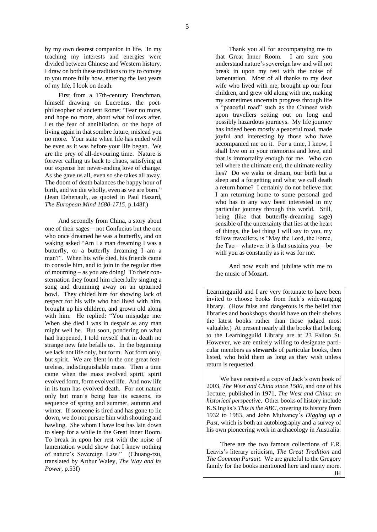by my own dearest companion in life. In my teaching my interests and energies were divided between Chinese and Western history. I draw on both these traditions to try to convey to you more fully how, entering the last years of my life, I look on death.

First from a 17th-century Frenchman, himself drawing on Lucretius, the poetphilosopher of ancient Rome: "Fear no more, and hope no more, about what follows after. Let the fear of annihilation, or the hope of living again in that sombre future, mislead you no more. Your state when life has ended will be even as it was before your life began. We are the prey of all-devouring time. Nature is forever calling us back to chaos, satisfying at our expense her never-ending love of change. As she gave us all, even so she takes all away. The doom of death balances the happy hour of birth, and we die wholly, even as we are born." (Jean Dehenault,, as quoted in Paul Hazard, *The European Mind 1680-1715*, p.148f.)

And secondly from China, a story about one of their sages ‒ not Confucius but the one who once dreamed he was a butterfly, and on waking asked "Am I a man dreaming I was a butterfly, or a butterfly dreaming I am a man?". When his wife died, his friends came to console him, and to join in the regular rites of mourning  $-$  as you are doing! To their consternation they found him cheerfully singing a song and drumming away on an upturned bowl. They chided him for showing lack of respect for his wife who had lived with him, brought up his children, and grown old along with him. He replied: "You misjudge me. When she died I was in despair as any man might well be. But soon, pondering on what had happened, I told myself that in death no strange new fate befalls us. In the beginning we lack not life only, but form. Not form only, but spirit. We are blent in the one great featureless, indistinguishable mass. Then a time came when the mass evolved spirit, spirit evolved form, form evolved life. And now life in its turn has evolved death. For not nature only but man's being has its seasons, its sequence of spring and summer, autumn and winter. If someone is tired and has gone to lie down, we do not pursue him with shouting and bawling. She whom I have lost has lain down to sleep for a while in the Great Inner Room. To break in upon her rest with the noise of lamentation would show that I knew nothing of nature's Sovereign Law." (Chuang-tzu, translated by Arthur Waley, *The Way and its Power*, p.53f)

Thank you all for accompanying me to that Great Inner Room. I am sure you understand nature's sovereign law and will not break in upon my rest with the noise of lamentation. Most of all thanks to my dear wife who lived with me, brought up our four children, and grew old along with me, making my sometimes uncertain progress through life a "peaceful road" such as the Chinese wish upon travellers setting out on long and possibly hazardous journeys. My life journey has indeed been mostly a peaceful road, made joyful and interesting by those who have accompanied me on it. For a time, I know, I shall live on in your memories and love, and that is immortality enough for me. Who can tell where the ultimate end, the ultimate reality lies? Do we wake or dream, our birth but a sleep and a forgetting and what we call death a return home? I certainly do not believe that I am returning home to some personal god who has in any way been interested in my particular journey through this world. Still, being (like that butterfly-dreaming sage) sensible of the uncertainty that lies at the heart of things, the last thing I will say to you, my fellow travellers, is "May the Lord, the Force, the Tao  $-$  whatever it is that sustains you  $-$  be with you as constantly as it was for me.

And now exult and jubilate with me to the music of Mozart.

Learningguild and I are very fortunate to have been invited to choose books from Jack's wide-ranging library. (How false and dangerous is the belief that libraries and bookshops should have on their shelves the latest books rather than those judged most valuable.) At present nearly all the books that belong to the Learningguild Library are at 23 Fallon St. However, we are entirely willing to designate particular members as **stewards** of particular books, then listed, who hold them as long as they wish unless return is requested.

We have received a copy of Jack's own book of 2003, *The West and China since 1500*, and one of his 1ecture, published in 1971, *The West and China: an historical perspective*. Other books of history include K.S.Inglis's *This is the ABC*, covering its history from 1932 to 1983, and John Mulvaney's *Digging up a Past*, which is both an autobiography and a survey of his own pioneering work in archaeology in Australia.

There are the two famous collections of F.R. Leavis's literary criticism, *The Great Tradition* and *The Common Pursuit*. We are grateful to the Gregory family for the books mentioned here and many more. JH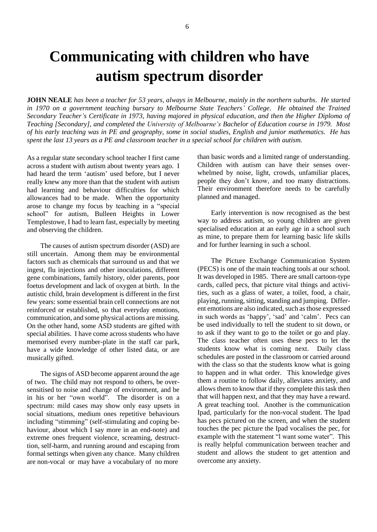## **Communicating with children who have autism spectrum disorder**

**JOHN NEALE** *has been a teacher for 53 years, always in Melbourne, mainly in the northern suburbs. He started in 1970 on a government teaching bursary to Melbourne State Teachers' College. He obtained the Trained Secondary Teacher's Certificate in 1973, having majored in physical education, and then the Higher Diploma of Teaching [Secondary], and completed the University of Melbourne's Bachelor of Education course in 1979. Most of his early teaching was in PE and geography, some in social studies, English and junior mathematics. He has spent the last 13 years as a PE and classroom teacher in a special school for children with autism.*

As a regular state secondary school teacher I first came across a student with autism about twenty years ago. I had heard the term 'autism' used before, but I never really knew any more than that the student with autism had learning and behaviour difficulties for which allowances had to be made. When the opportunity arose to change my focus by teaching in a "special school" for autism, Bulleen Heights in Lower Templestowe, I had to learn fast, especially by meeting and observing the children.

The causes of autism spectrum disorder (ASD) are still uncertain. Among them may be environmental factors such as chemicals that surround us and that we ingest, flu injections and other inoculations, different gene combinations, family history, older parents, poor foetus development and lack of oxygen at birth. In the autistic child, brain development is different in the first few years: some essential brain cell connections are not reinforced or established, so that everyday emotions, communication, and some physical actions are missing. On the other hand, some ASD students are gifted with special abilities. I have come across students who have memorised every number-plate in the staff car park, have a wide knowledge of other listed data, or are musically gifted.

The signs of ASD become apparent around the age of two. The child may not respond to others, be oversensitised to noise and change of environment, and be in his or her "own world". The disorder is on a spectrum: mild cases may show only easy upsets in social situations, medium ones repetitive behaviours including "stimming" (self-stimulating and coping behaviour, about which I say more in an end-note) and extreme ones frequent violence, screaming, destructtion, self-harm, and running around and escaping from formal settings when given any chance. Many children are non-vocal or may have a vocabulary of no more

than basic words and a limited range of understanding. Children with autism can have their senses overwhelmed by noise, light, crowds, unfamiliar places, people they don't know, and too many distractions. Their environment therefore needs to be carefully planned and managed.

Early intervention is now recognised as the best way to address autism, so young children are given specialised education at an early age in a school such as mine, to prepare them for learning basic life skills and for further learning in such a school.

The Picture Exchange Communication System (PECS) is one of the main teaching tools at our school. It was developed in 1985. There are small cartoon-type cards, called pecs, that picture vital things and activities, such as a glass of water, a toilet, food, a chair, playing, running, sitting, standing and jumping. Different emotions are also indicated, such as those expressed in such words as 'happy', 'sad' and 'calm'. Pecs can be used individually to tell the student to sit down, or to ask if they want to go to the toilet or go and play. The class teacher often uses these pecs to let the students know what is coming next. Daily class schedules are posted in the classroom or carried around with the class so that the students know what is going to happen and in what order. This knowledge gives them a routine to follow daily, alleviates anxiety, and allows them to know that if they complete this task then that will happen next, and that they may have a reward. A great teaching tool. Another is the communication Ipad, particularly for the non-vocal student. The Ipad has pecs pictured on the screen, and when the student touches the pec picture the Ipad vocalises the pec, for example with the statement "l want some water". This is really helpful communication between teacher and student and allows the student to get attention and overcome any anxiety.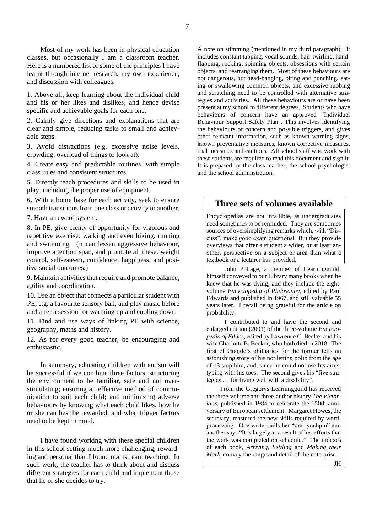Most of my work has been in physical education classes, but occasionally I am a classroom teacher. Here is a numbered list of some of the principles I have learnt through internet research, my own experience, and discussion with colleagues.

1. Above all, keep learning about the individual child and his or her likes and dislikes, and hence devise specific and achievable goals for each one.

2. Calmly give directions and explanations that are clear and simple, reducing tasks to small and achievable steps.

3. Avoid distractions (e.g. excessive noise levels, crowding, overload of things to look at).

4. Create easy and predictable routines, with simple class rules and consistent structures.

5. Directly teach procedures and skills to be used in play, including the proper use of equipment.

6. With a home base for each activity, seek to ensure smooth transitions from one class or activity to another.

7. Have a reward system.

8. In PE, give plenty of opportunity for vigorous and repetitive exercise: walking and even hiking, running and swimming. (It can lessen aggressive behaviour, improve attention span, and promote all these: weight control, self-esteem, confidence, happiness, and positive social outcomes.)

9. Maintain activities that require and promote balance, agility and coordination.

10. Use an object that connects a particular student with PE, e.g. a favourite sensory ball, and play music before and after a session for warming up and cooling down.

11. Find and use ways of linking PE with science, geography, maths and history.

12. As for every good teacher, be encouraging and enthusiastic.

In summary, educating children with autism will be successful if we combine three factors: structuring the environment to be familiar, safe and not overstimulating; ensuring an effective method of communication to suit each child; and minimizing adverse behaviours by knowing what each child likes, how he or she can best be rewarded, and what trigger factors need to be kept in mind.

I have found working with these special children in this school setting much more challenging, rewarding and personal than I found mainstream teaching. In such work, the teacher has to think about and discuss different strategies for each child and implement those that he or she decides to try.

A note on stimming (mentioned in my third paragraph). It includes constant tapping, vocal sounds, hair-twirling, handflapping, rocking, spinning objects, obsessions with certain objects, and rearranging them. Most of these behaviours are not dangerous, but head-banging, biting and punching, eating or swallowing common objects, and excessive rubbing and scratching need to be controlled with alternative strategies and activities. All these behaviours are or have been present at my school to different degrees. Students who have behaviours of concern have an approved "Individual Behaviour Support Safety Plan". This involves identifying the behaviours of concern and possible triggers, and gives other relevant information, such as known warning signs, known preventative measures, known corrective measures, trial measures and cautions. All school staff who work with these students are required to read this document and sign it. It is prepared by the class teacher, the school psychologist and the school administration.

#### **Three sets of volumes available**

Encyclopedias are not infallible, as undergraduates need sometimes to be reminded. They are sometimes sources of oversimplifying remarks which, with "Discuss", make good exam questions! But they provide overviews that offer a student a wider, or at least another, perspective on a subject or area than what a textbook or a lecturer has provided.

John Pottage, a member of Learningguild, himself conveyed to our Library many books when he knew that he was dying, and they include the eightvolume *Encyclopedia of Philosophy*, edited by Paul Edwards and published in 1967, and still valuable 55 years later. I recall being grateful for the article on probability.

I contributed to and have the second and enlarged edition (2001) of the three-volume *Encyclopedia of Ethics*, edited by Lawrence C. Becker and his wife Charlotte B. Becker, who both died in 2018. The first of Google's obituaries for the former tells an astonishing story of his not letting polio from the age of 13 stop him, and, since he could not use his arms, typing with his toes. The second gives his "five strategies … for living well with a disability".

From the Gregorys Learningguild has received the three-volume and three-author history *The Victorians*, published in 1984 to celebrate the 150th anniversary of European settlement. Margaret Howes, the secretary, mastered the new skills required by wordprocessing. One writer calls her "our lynchpin" and another says "It is largely as a result of her efforts that the work was completed on schedule." The indexes of each book, *Arriving*, *Settling* and *Making their Mark*, convey the range and detail of the enterprise.

7

JH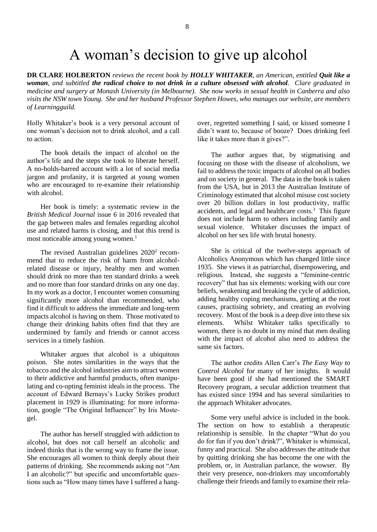## A woman's decision to give up alcohol

**DR CLARE HOLBERTON** *reviews the recent book by HOLLY WHITAKER, an American, entitled Quit like a woman, and subtitled the radical choice to not drink in a culture obsessed with alcohol. Clare graduated in medicine and surgery at Monash University (in Melbourne). She now works in sexual health in Canberra and also visits the NSW town Young. She and her husband Professor Stephen Howes, who manages our website, are members of Learningguild.*

Holly Whitaker's book is a very personal account of one woman's decision not to drink alcohol, and a call to action.

The book details the impact of alcohol on the author's life and the steps she took to liberate herself. A no-holds-barred account with a lot of social media jargon and profanity, it is targeted at young women who are encouraged to re-examine their relationship with alcohol.

Her book is timely: a systematic review in the *British Medical Journal* issue 6 in 2016 revealed that the gap between males and females regarding alcohol use and related harms is closing, and that this trend is most noticeable among young women.<sup>1</sup>

The revised Australian guidelines 2020<sup>2</sup> recommend that to reduce the risk of harm from alcoholrelated disease or injury, healthy men and women should drink no more than ten standard drinks a week and no more than four standard drinks on any one day. In my work as a doctor, I encounter women consuming significantly more alcohol than recommended, who find it difficult to address the immediate and long-term impacts alcohol is having on them. Those motivated to change their drinking habits often find that they are undermined by family and friends or cannot access services in a timely fashion.

Whitaker argues that alcohol is a ubiquitous poison. She notes similarities in the ways that the tobacco and the alcohol industries aim to attract women to their addictive and harmful products, often manipulating and co-opting feminist ideals in the process. The account of Edward Bernays's Lucky Strikes product placement in 1929 is illuminating: for more information, google "The Original Influencer" by Iris Mostegel.

The author has herself struggled with addiction to alcohol, but does not call herself an alcoholic and indeed thinks that is the wrong way to frame the issue. She encourages all women to think deeply about their patterns of drinking. She recommends asking not "Am I an alcoholic?" but specific and uncomfortable questions such as "How many times have I suffered a hangover, regretted something I said, or kissed someone I didn't want to, because of booze? Does drinking feel like it takes more than it gives?".

The author argues that, by stigmatising and focusing on those with the disease of alcoholism, we fail to address the toxic impacts of alcohol on all bodies and on society in general. The data in the book is taken from the USA, but in 2013 the Australian Institute of Criminology estimated that alcohol misuse cost society over 20 billion dollars in lost productivity, traffic accidents, and legal and healthcare costs.<sup>3</sup> This figure does not include harm to others including family and sexual violence. Whitaker discusses the impact of alcohol on her sex life with brutal honesty.

She is critical of the twelve-steps approach of Alcoholics Anonymous which has changed little since 1935. She views it as patriarchal, disempowering, and religious. Instead, she suggests a "feminine-centric recovery" that has six elements: working with our core beliefs, weakening and breaking the cycle of addiction, adding healthy coping mechanisms, getting at the root causes, practising sobriety, and creating an evolving recovery. Most of the book is a deep dive into these six elements. Whilst Whitaker talks specifically to women, there is no doubt in my mind that men dealing with the impact of alcohol also need to address the same six factors.

The author credits Allen Carr's *The Easy Way to Control Alcohol* for many of her insights. It would have been good if she had mentioned the SMART Recovery program, a secular addiction treatment that has existed since 1994 and has several similarities to the approach Whitaker advocates.

Some very useful advice is included in the book. The section on how to establish a therapeutic relationship is sensible. In the chapter "What do you do for fun if you don't drink?", Whitaker is whimsical, funny and practical. She also addresses the attitude that by quitting drinking she has become the one with the problem, or, in Australian parlance, the wowser. By their very presence, non-drinkers may uncomfortably challenge their friends and family to examine their rela-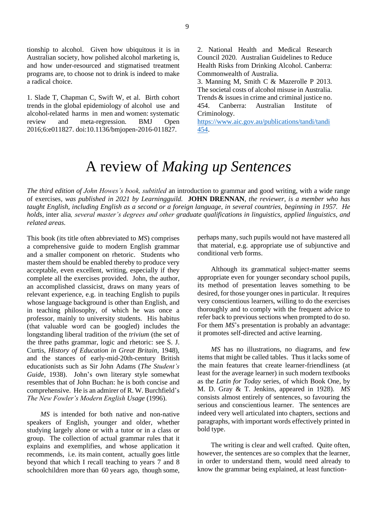1. Slade T, Chapman C, Swift W, et al. Birth cohort trends in the global epidemiology of alcohol use and alcohol-related harms in men and women: systematic review and meta-regression. BMJ Open 2016;6:e011827. doi:10.1136/bmjopen-2016-011827.

2. National Health and Medical Research Council 2020. Australian Guidelines to Reduce Health Risks from Drinking Alcohol. Canberra: Commonwealth of Australia.

3. Manning M, Smith C & Mazerolle P 2013. The societal costs of alcohol misuse in Australia. Trends & issues in crime and criminal justice no. 454. Canberra: Australian Institute of Criminology.

[https://www.aic.gov.au/publications/tandi/tandi](https://www.aic.gov.au/publications/tandi/tandi454) [454.](https://www.aic.gov.au/publications/tandi/tandi454)

## A review of *Making up Sentences*

*The third edition of John Howes's book, subtitled* an introduction to grammar and good writing, with a wide range of exercises*, was published in 2021 by Learningguild.* **JOHN DRENNAN***, the reviewer, is a member who has taught English, including English as a second or a foreign language, in several countries, beginning in 1957. He holds,* inter alia*, several master's degrees and other graduate qualifications in linguistics, applied linguistics, and related areas.*

This book (its title often abbreviated to *MS*) comprises a comprehensive guide to modern English grammar and a smaller component on rhetoric. Students who master them should be enabled thereby to produce very acceptable, even excellent, writing, especially if they complete all the exercises provided. John, the author, an accomplished classicist, draws on many years of relevant experience, e.g. in teaching English to pupils whose language background is other than English, and in teaching philosophy, of which he was once a professor, mainly to university students. His habitus (that valuable word can be googled) includes the longstanding liberal tradition of the *trivium* (the set of the three paths grammar, logic and rhetoric: see S. J. Curtis, *History of Education in Great Britain*, 1948), and the stances of early-mid-20th-century British educationists such as Sir John Adams (*The Student's Guide*, 1938). John's own literary style somewhat resembles that of John Buchan: he is both concise and comprehensive. He is an admirer of R. W. Burchfield's *The New Fowler's Modern English Usage* (1996).

*MS* is intended for both native and non-native speakers of English, younger and older, whether studying largely alone or with a tutor or in a class or group. The collection of actual grammar rules that it explains and exemplifies, and whose application it recommends, i.e. its main content, actually goes little beyond that which I recall teaching to years 7 and 8 schoolchildren more than 60 years ago, though some, perhaps many, such pupils would not have mastered all that material, e.g. appropriate use of subjunctive and conditional verb forms.

Although its grammatical subject-matter seems appropriate even for younger secondary school pupils, its method of presentation leaves something to be desired, for those younger ones in particular. It requires very conscientious learners, willing to do the exercises thoroughly and to comply with the frequent advice to refer back to previous sections when prompted to do so. For them *MS*'s presentation is probably an advantage: it promotes self-directed and active learning.

*MS* has no illustrations, no diagrams, and few items that might be called tables. Thus it lacks some of the main features that create learner-friendliness (at least for the average learner) in such modern textbooks as the *Latin for Today* series, of which Book One, by M. D. Gray & T. Jenkins, appeared in 1928). *MS* consists almost entirely of sentences, so favouring the serious and conscientious learner. The sentences are indeed very well articulated into chapters, sections and paragraphs, with important words effectively printed in bold type.

The writing is clear and well crafted. Quite often, however, the sentences are so complex that the learner, in order to understand them, would need already to know the grammar being explained, at least function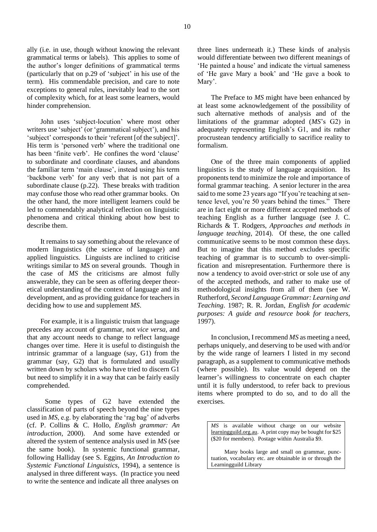ally (i.e. in use, though without knowing the relevant grammatical terms or labels). This applies to some of the author's longer definitions of grammatical terms (particularly that on p.29 of 'subject' in his use of the term). His commendable precision, and care to note exceptions to general rules, inevitably lead to the sort of complexity which, for at least some learners, would hinder comprehension.

John uses 'subject-locution' where most other writers use 'subject' (or 'grammatical subject'), and his 'subject' corresponds to their 'referent [of the subject]'. His term is 'personed verb' where the traditional one has been 'finite verb'. He confines the word 'clause' to subordinate and coordinate clauses, and abandons the familiar term 'main clause', instead using his term 'backbone verb' for any verb that is not part of a subordinate clause (p.22). These breaks with tradition may confuse those who read other grammar books. On the other hand, the more intelligent learners could be led to commendably analytical reflection on linguistic phenomena and critical thinking about how best to describe them.

It remains to say something about the relevance of modern linguistics (the science of language) and applied linguistics. Linguists are inclined to criticise writings similar to *MS* on several grounds. Though in the case of *MS* the criticisms are almost fully answerable, they can be seen as offering deeper theoretical understanding of the context of language and its development, and as providing guidance for teachers in deciding how to use and supplement *MS*.

For example, it is a linguistic truism that language precedes any account of grammar, not *vice versa*, and that any account needs to change to reflect language changes over time. Here it is useful to distinguish the intrinsic grammar of a language (say, G1) from the grammar (say, G2) that is formulated and usually written down by scholars who have tried to discern G1 but need to simplify it in a way that can be fairly easily comprehended.

Some types of G2 have extended the classification of parts of speech beyond the nine types used in *MS*, e.g. by elaborating the 'rag bag' of adverbs (cf. P. Collins & C. Hollo, *English grammar: An introduction*, 2000). And some have extended or altered the system of sentence analysis used in *MS* (see the same book). In systemic functional grammar, following Halliday (see S. Eggins, *An Introduction to Systemic Functional Linguistics*, 1994), a sentence is analysed in three different ways. (In practice you need to write the sentence and indicate all three analyses on

three lines underneath it.) These kinds of analysis would differentiate between two different meanings of 'He painted a house' and indicate the virtual sameness of 'He gave Mary a book' and 'He gave a book to Mary'.

The Preface to *MS* might have been enhanced by at least some acknowledgement of the possibility of such alternative methods of analysis and of the limitations of the grammar adopted (*MS*'s G2) in adequately representing English's G1, and its rather procrustean tendency artificially to sacrifice reality to formalism.

One of the three main components of applied linguistics is the study of language acquisition. Its proponents tend to minimize the role and importance of formal grammar teaching. A senior lecturer in the area said to me some 23 years ago "If you're teaching at sentence level, you're 50 years behind the times." There are in fact eight or more different accepted methods of teaching English as a further language (see J. C. Richards & T. Rodgers, *Approaches and methods in language teaching*, 2014). Of these, the one called communicative seems to be most common these days. But to imagine that this method excludes specific teaching of grammar is to succumb to over-simplification and misrepresentation. Furthermore there is now a tendency to avoid over-strict or sole use of any of the accepted methods, and rather to make use of methodological insights from all of them (see W. Rutherford, *Second Language Grammar: Learning and Teaching*. 1987; R. R. Jordan, *English for academic purposes: A guide and resource book for teachers*, 1997).

In conclusion, I recommend *MS* as meeting a need, perhaps uniquely, and deserving to be used with and/or by the wide range of learners I listed in my second paragraph, as a supplement to communicative methods (where possible). Its value would depend on the learner's willingness to concentrate on each chapter until it is fully understood, to refer back to previous items where prompted to do so, and to do all the exercises.

*MS* is available without charge on our website learningguild.org.au. A print copy may be bought for \$25 (\$20 for members). Postage within Australia \$9.

Many books large and small on grammar, punctuation, vocabulary etc. are obtainable in or through the Learningguild Library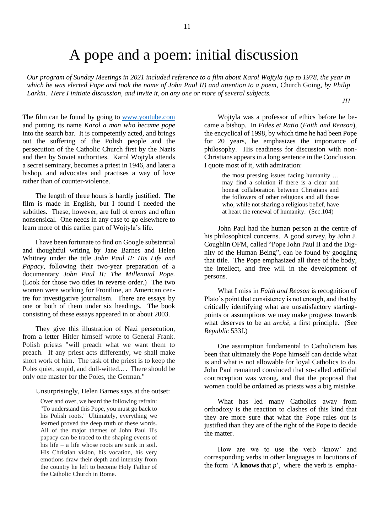## A pope and a poem: initial discussion

*Our program of Sunday Meetings in 2021 included reference to a film about Karol Wojtyla (up to 1978, the year in which he was elected Pope and took the name of John Paul II) and attention to a poem,* Church Going*, by Philip Larkin. Here I initiate discussion, and invite it, on any one or more of several subjects.* 

*JH*

The film can be found by going to [www.youtube.com](http://www.youtube.com/) and putting its name *Karol a man who became pope* into the search bar. It is competently acted, and brings out the suffering of the Polish people and the persecution of the Catholic Church first by the Nazis and then by Soviet authorities. Karol Wojtyla attends a secret seminary, becomes a priest in 1946, and later a bishop, and advocates and practises a way of love rather than of counter-violence.

The length of three hours is hardly justified. The film is made in English, but I found I needed the subtitles. These, however, are full of errors and often nonsensical. One needs in any case to go elsewhere to learn more of this earlier part of Wojtyla's life.

I have been fortunate to find on Google substantial and thoughtful writing by Jane Barnes and Helen Whitney under the title *John Paul II: His Life and Papacy,* following their two-year preparation of a documentary *John Paul II: The Millennial Pope.* (Look for those two titles in reverse order.) The two women were working for Frontline, an American centre for investigative journalism. There are essays by one or both of them under six headings. The book consisting of these essays appeared in or about 2003.

They give this illustration of Nazi persecution, from a letter Hitler himself wrote to General Frank. Polish priests "will preach what we want them to preach. If any priest acts differently, we shall make short work of him. The task of the priest is to keep the Poles quiet, stupid, and dull-witted... . There should be only one master for the Poles, the German."

#### Unsurprisingly, Helen Barnes says at the outset:

Over and over, we heard the following refrain: "To understand this Pope, you must go back to his Polish roots." Ultimately, everything we learned proved the deep truth of these words. All of the major themes of John Paul II's papacy can be traced to the shaping events of his life  $-$  a life whose roots are sunk in soil. His Christian vision, his vocation, his very emotions draw their depth and intensity from the country he left to become Holy Father of the Catholic Church in Rome.

Wojtyla was a professor of ethics before he became a bishop. In *Fides et Ratio* (*Faith and Reason*), the encyclical of 1998, by which time he had been Pope for 20 years, he emphasizes the importance of philosophy. His readiness for discussion with non-Christians appears in a long sentence in the Conclusion. I quote most of it, with admiration:

> the most pressing issues facing humanity … may find a solution if there is a clear and honest collaboration between Christians and the followers of other religions and all those who, while not sharing a religious belief, have at heart the renewal of humanity. (Sec.104)

John Paul had the human person at the centre of his philosophical concerns. A good survey, by John J. Coughlin OFM, called "Pope John Paul II and the Dignity of the Human Being", can be found by googling that title. The Pope emphasized all three of the body, the intellect, and free will in the development of persons.

What I miss in *Faith and Reason* is recognition of Plato's point that consistency is not enough, and that by critically identifying what are unsatisfactory startingpoints or assumptions we may make progress towards what deserves to be an *archē*, a first principle. (See *Republic* 533f.)

One assumption fundamental to Catholicism has been that ultimately the Pope himself can decide what is and what is not allowable for loyal Catholics to do. John Paul remained convinced that so-called artificial contraception was wrong, and that the proposal that women could be ordained as priests was a big mistake.

What has led many Catholics away from orthodoxy is the reaction to clashes of this kind that they are more sure that what the Pope rules out is justified than they are of the right of the Pope to decide the matter.

How are we to use the verb 'know' and corresponding verbs in other languages in locutions of the form  $'A$  **knows** that  $p'$ , where the verb is empha